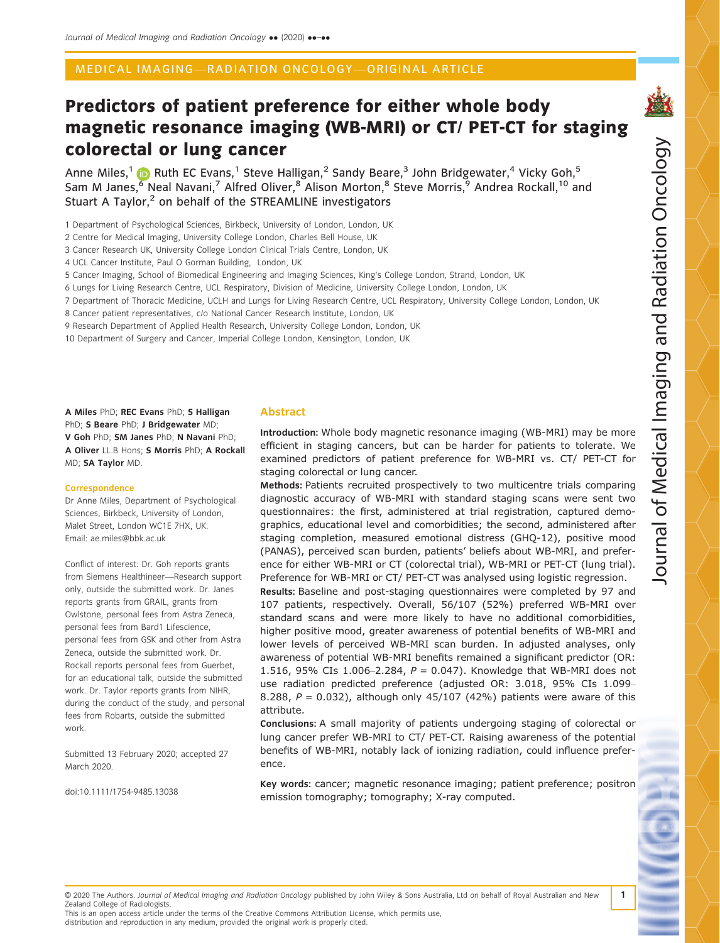# MEDICAL IMAGING—RADIATION ONCOLOGY—ORIGINAL ARTICLE

# Predictors of patient preference for either whole body magnetic resonance imaging (WB-MRI) or CT/ PET-CT for staging colorectal or lung cancer

Anne Miles,<sup>[1](https://orcid.org/0000-0003-3122-9900)</sup> D Ruth EC Evans,<sup>1</sup> Steve Halligan,<sup>2</sup> Sandy Beare,<sup>3</sup> John Bridgewater,<sup>4</sup> Vicky Goh,<sup>5</sup> Sam M Janes,<sup>[6](https://orcid.org/0000-0003-3122-9900)</sup> Neal Navani,<sup>7</sup> Alfred Oliver,<sup>8</sup> Alison Morton,<sup>8</sup> Steve Morris,<sup>9</sup> Andrea Rockall,<sup>10</sup> and Stuart A Taylor,<sup>2</sup> on behalf of the STREAMLINE investigators

1 Department of Psychological Sciences, Birkbeck, University of London, London, UK

- 2 Centre for Medical Imaging, University College London, Charles Bell House, UK
- 3 Cancer Research UK, University College London Clinical Trials Centre, London, UK
- 4 UCL Cancer Institute, Paul O Gorman Building, London, UK
- 5 Cancer Imaging, School of Biomedical Engineering and Imaging Sciences, King's College London, Strand, London, UK
- 6 Lungs for Living Research Centre, UCL Respiratory, Division of Medicine, University College London, London, UK
- 7 Department of Thoracic Medicine, UCLH and Lungs for Living Research Centre, UCL Respiratory, University College London, London, UK
- 8 Cancer patient representatives, c/o National Cancer Research Institute, London, UK
- 9 Research Department of Applied Health Research, University College London, London, UK
- 10 Department of Surgery and Cancer, Imperial College London, Kensington, London, UK

A Miles PhD; REC Evans PhD; S Halligan PhD; S Beare PhD; J Bridgewater MD; V Goh PhD; SM Janes PhD; N Navani PhD; A Oliver LL.B Hons; S Morris PhD; A Rockall MD; SA Taylor MD.

#### **Correspondence**

Dr Anne Miles, Department of Psychological Sciences, Birkbeck, University of London, Malet Street, London WC1E 7HX, UK. Email: ae.miles@bbk.ac.uk

Conflict of interest: Dr. Goh reports grants from Siemens Healthineer—Research support only, outside the submitted work. Dr. Janes reports grants from GRAIL, grants from Owlstone, personal fees from Astra Zeneca, personal fees from Bard1 Lifescience, personal fees from GSK and other from Astra Zeneca, outside the submitted work. Dr. Rockall reports personal fees from Guerbet, for an educational talk, outside the submitted work. Dr. Taylor reports grants from NIHR, during the conduct of the study, and personal fees from Robarts, outside the submitted work.

Submitted 13 February 2020; accepted 27 March 2020.

doi:10.1111/1754-9485.13038

### Abstract

Introduction: Whole body magnetic resonance imaging (WB-MRI) may be more efficient in staging cancers, but can be harder for patients to tolerate. We examined predictors of patient preference for WB-MRI vs. CT/ PET-CT for staging colorectal or lung cancer.

Methods: Patients recruited prospectively to two multicentre trials comparing diagnostic accuracy of WB-MRI with standard staging scans were sent two questionnaires: the first, administered at trial registration, captured demographics, educational level and comorbidities; the second, administered after staging completion, measured emotional distress (GHQ-12), positive mood (PANAS), perceived scan burden, patients' beliefs about WB-MRI, and preference for either WB-MRI or CT (colorectal trial), WB-MRI or PET-CT (lung trial). Preference for WB-MRI or CT/ PET-CT was analysed using logistic regression.

Results: Baseline and post-staging questionnaires were completed by 97 and 107 patients, respectively. Overall, 56/107 (52%) preferred WB-MRI over standard scans and were more likely to have no additional comorbidities, higher positive mood, greater awareness of potential benefits of WB-MRI and lower levels of perceived WB-MRI scan burden. In adjusted analyses, only awareness of potential WB-MRI benefits remained a significant predictor (OR: 1.516, 95% CIs 1.006-2.284,  $P = 0.047$ ). Knowledge that WB-MRI does not use radiation predicted preference (adjusted OR: 3.018, 95% CIs 1.099– 8.288,  $P = 0.032$ ), although only 45/107 (42%) patients were aware of this attribute.

Conclusions: A small majority of patients undergoing staging of colorectal or lung cancer prefer WB-MRI to CT/ PET-CT. Raising awareness of the potential benefits of WB-MRI, notably lack of ionizing radiation, could influence preference.

Key words: cancer; magnetic resonance imaging; patient preference; positron emission tomography; tomography; X-ray computed.

© 2020 The Authors. Journal of Medical Imaging and Radiation Oncology published by John Wiley & Sons Australia, Ltd on behalf of Royal Australian and New Zealand College of Radiologists.

This is an open access article under the terms of the [Creative Commons Attribution](http://creativecommons.org/licenses/by/4.0/) License, which permits use, distribution and reproduction in any medium, provided the original work is properly cited.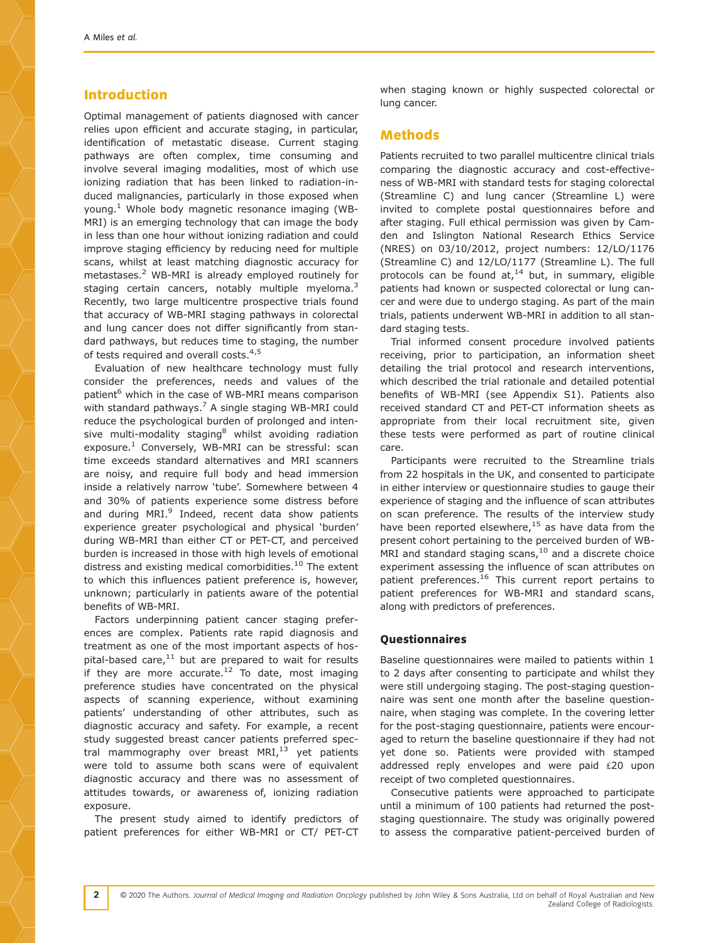# Introduction

Optimal management of patients diagnosed with cancer relies upon efficient and accurate staging, in particular, identification of metastatic disease. Current staging pathways are often complex, time consuming and involve several imaging modalities, most of which use ionizing radiation that has been linked to radiation-induced malignancies, particularly in those exposed when young.1 Whole body magnetic resonance imaging (WB-MRI) is an emerging technology that can image the body in less than one hour without ionizing radiation and could improve staging efficiency by reducing need for multiple scans, whilst at least matching diagnostic accuracy for metastases.<sup>2</sup> WB-MRI is already employed routinely for staging certain cancers, notably multiple myeloma.<sup>3</sup> Recently, two large multicentre prospective trials found that accuracy of WB-MRI staging pathways in colorectal and lung cancer does not differ significantly from standard pathways, but reduces time to staging, the number of tests required and overall costs.<sup>4,5</sup>

Evaluation of new healthcare technology must fully consider the preferences, needs and values of the patient<sup>6</sup> which in the case of WB-MRI means comparison with standard pathways.<sup>7</sup> A single staging WB-MRI could reduce the psychological burden of prolonged and intensive multi-modality staging<sup>8</sup> whilst avoiding radiation exposure.<sup>1</sup> Conversely, WB-MRI can be stressful: scan time exceeds standard alternatives and MRI scanners are noisy, and require full body and head immersion inside a relatively narrow 'tube'. Somewhere between 4 and 30% of patients experience some distress before and during MRI.<sup>9</sup> Indeed, recent data show patients experience greater psychological and physical 'burden' during WB-MRI than either CT or PET-CT, and perceived burden is increased in those with high levels of emotional distress and existing medical comorbidities.<sup>10</sup> The extent to which this influences patient preference is, however, unknown; particularly in patients aware of the potential benefits of WB-MRI.

Factors underpinning patient cancer staging preferences are complex. Patients rate rapid diagnosis and treatment as one of the most important aspects of hospital-based care, $^{11}$  but are prepared to wait for results if they are more accurate.<sup>12</sup> To date, most imaging preference studies have concentrated on the physical aspects of scanning experience, without examining patients' understanding of other attributes, such as diagnostic accuracy and safety. For example, a recent study suggested breast cancer patients preferred spectral mammography over breast MRI, $^{13}$  yet patients were told to assume both scans were of equivalent diagnostic accuracy and there was no assessment of attitudes towards, or awareness of, ionizing radiation exposure.

The present study aimed to identify predictors of patient preferences for either WB-MRI or CT/ PET-CT

2

when staging known or highly suspected colorectal or lung cancer.

# Methods

Patients recruited to two parallel multicentre clinical trials comparing the diagnostic accuracy and cost-effectiveness of WB-MRI with standard tests for staging colorectal (Streamline C) and lung cancer (Streamline L) were invited to complete postal questionnaires before and after staging. Full ethical permission was given by Camden and Islington National Research Ethics Service (NRES) on 03/10/2012, project numbers: 12/LO/1176 (Streamline C) and 12/LO/1177 (Streamline L). The full protocols can be found  $at^{-14}$  but, in summary, eligible patients had known or suspected colorectal or lung cancer and were due to undergo staging. As part of the main trials, patients underwent WB-MRI in addition to all standard staging tests.

Trial informed consent procedure involved patients receiving, prior to participation, an information sheet detailing the trial protocol and research interventions, which described the trial rationale and detailed potential benefits of WB-MRI (see Appendix S1). Patients also received standard CT and PET-CT information sheets as appropriate from their local recruitment site, given these tests were performed as part of routine clinical care.

Participants were recruited to the Streamline trials from 22 hospitals in the UK, and consented to participate in either interview or questionnaire studies to gauge their experience of staging and the influence of scan attributes on scan preference. The results of the interview study have been reported elsewhere, $15$  as have data from the present cohort pertaining to the perceived burden of WB-MRI and standard staging scans, $^{10}$  and a discrete choice experiment assessing the influence of scan attributes on patient preferences.<sup>16</sup> This current report pertains to patient preferences for WB-MRI and standard scans, along with predictors of preferences.

## Questionnaires

Baseline questionnaires were mailed to patients within 1 to 2 days after consenting to participate and whilst they were still undergoing staging. The post-staging questionnaire was sent one month after the baseline questionnaire, when staging was complete. In the covering letter for the post-staging questionnaire, patients were encouraged to return the baseline questionnaire if they had not yet done so. Patients were provided with stamped addressed reply envelopes and were paid £20 upon receipt of two completed questionnaires.

Consecutive patients were approached to participate until a minimum of 100 patients had returned the poststaging questionnaire. The study was originally powered to assess the comparative patient-perceived burden of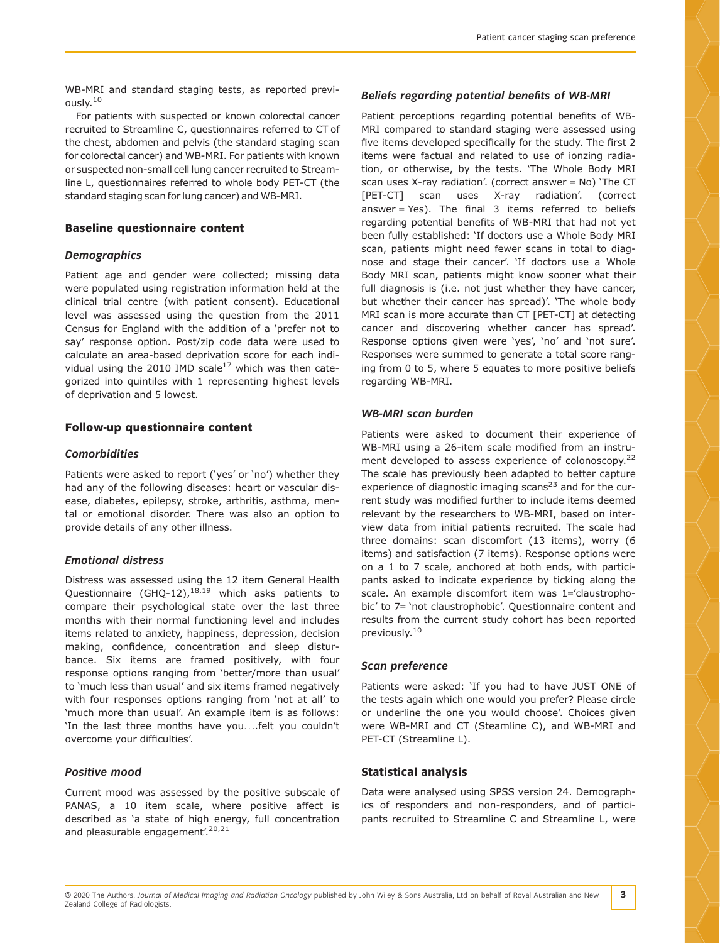WB-MRI and standard staging tests, as reported previously.<sup>10</sup>

For patients with suspected or known colorectal cancer recruited to Streamline C, questionnaires referred to CT of the chest, abdomen and pelvis (the standard staging scan for colorectal cancer) and WB-MRI. For patients with known or suspected non-small cell lung cancer recruited to Streamline L, questionnaires referred to whole body PET-CT (the standard staging scan for lung cancer) and WB-MRI.

#### Baseline questionnaire content

## Demographics

Patient age and gender were collected; missing data were populated using registration information held at the clinical trial centre (with patient consent). Educational level was assessed using the question from the 2011 Census for England with the addition of a 'prefer not to say' response option. Post/zip code data were used to calculate an area-based deprivation score for each individual using the 2010 IMD scale<sup>17</sup> which was then categorized into quintiles with 1 representing highest levels of deprivation and 5 lowest.

## Follow-up questionnaire content

## **Comorbidities**

Patients were asked to report ('yes' or 'no') whether they had any of the following diseases: heart or vascular disease, diabetes, epilepsy, stroke, arthritis, asthma, mental or emotional disorder. There was also an option to provide details of any other illness.

#### Emotional distress

Distress was assessed using the 12 item General Health Questionnaire (GHQ-12),<sup>18,19</sup> which asks patients to compare their psychological state over the last three months with their normal functioning level and includes items related to anxiety, happiness, depression, decision making, confidence, concentration and sleep disturbance. Six items are framed positively, with four response options ranging from 'better/more than usual' to 'much less than usual' and six items framed negatively with four responses options ranging from 'not at all' to 'much more than usual'. An example item is as follows: 'In the last three months have you....felt you couldn't overcome your difficulties'.

#### Positive mood

Current mood was assessed by the positive subscale of PANAS, a 10 item scale, where positive affect is described as 'a state of high energy, full concentration and pleasurable engagement'.<sup>20,21</sup>

## Beliefs regarding potential benefits of WB-MRI

Patient perceptions regarding potential benefits of WB-MRI compared to standard staging were assessed using five items developed specifically for the study. The first 2 items were factual and related to use of ionzing radiation, or otherwise, by the tests. 'The Whole Body MRI scan uses X-ray radiation'. (correct answer = No) 'The CT [PET-CT] scan uses X-ray radiation'. (correct answer = Yes). The final  $3$  items referred to beliefs regarding potential benefits of WB-MRI that had not yet been fully established: 'If doctors use a Whole Body MRI scan, patients might need fewer scans in total to diagnose and stage their cancer'. 'If doctors use a Whole Body MRI scan, patients might know sooner what their full diagnosis is (i.e. not just whether they have cancer, but whether their cancer has spread)'. 'The whole body MRI scan is more accurate than CT [PET-CT] at detecting cancer and discovering whether cancer has spread'. Response options given were 'yes', 'no' and 'not sure'. Responses were summed to generate a total score ranging from 0 to 5, where 5 equates to more positive beliefs regarding WB-MRI.

#### WB-MRI scan burden

Patients were asked to document their experience of WB-MRI using a 26-item scale modified from an instrument developed to assess experience of colonoscopy.<sup>22</sup> The scale has previously been adapted to better capture experience of diagnostic imaging scans<sup>23</sup> and for the current study was modified further to include items deemed relevant by the researchers to WB-MRI, based on interview data from initial patients recruited. The scale had three domains: scan discomfort (13 items), worry (6 items) and satisfaction (7 items). Response options were on a 1 to 7 scale, anchored at both ends, with participants asked to indicate experience by ticking along the scale. An example discomfort item was 1='claustrophobic' to 7= 'not claustrophobic'. Questionnaire content and results from the current study cohort has been reported previously.<sup>10</sup>

## Scan preference

Patients were asked: 'If you had to have JUST ONE of the tests again which one would you prefer? Please circle or underline the one you would choose'. Choices given were WB-MRI and CT (Steamline C), and WB-MRI and PET-CT (Streamline L).

## Statistical analysis

Data were analysed using SPSS version 24. Demographics of responders and non-responders, and of participants recruited to Streamline C and Streamline L, were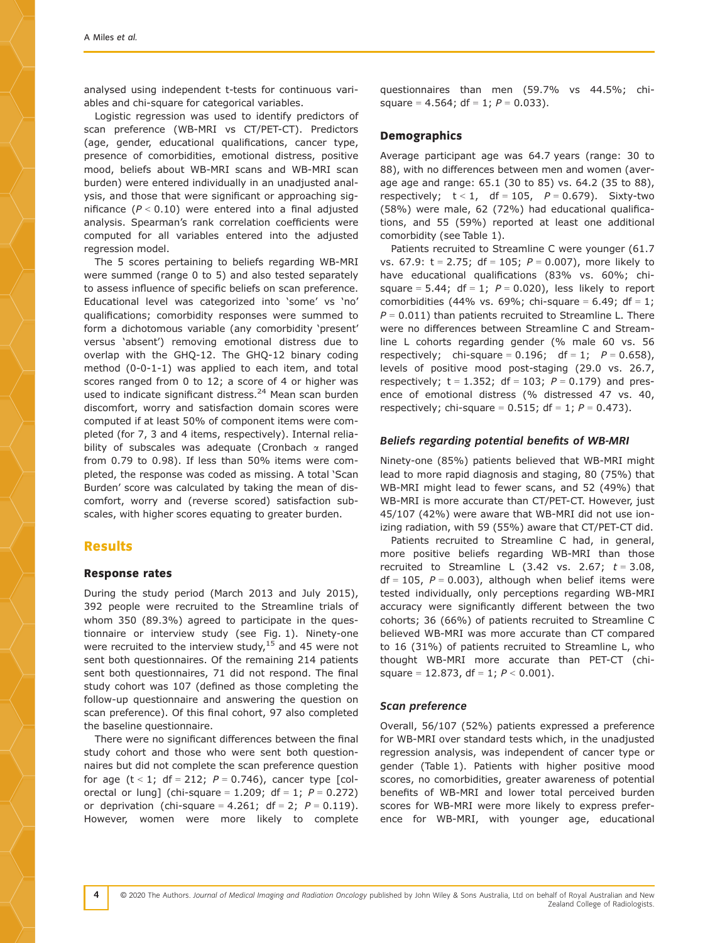analysed using independent t-tests for continuous variables and chi-square for categorical variables.

Logistic regression was used to identify predictors of scan preference (WB-MRI vs CT/PET-CT). Predictors (age, gender, educational qualifications, cancer type, presence of comorbidities, emotional distress, positive mood, beliefs about WB-MRI scans and WB-MRI scan burden) were entered individually in an unadjusted analysis, and those that were significant or approaching significance ( $P < 0.10$ ) were entered into a final adjusted analysis. Spearman's rank correlation coefficients were computed for all variables entered into the adjusted regression model.

The 5 scores pertaining to beliefs regarding WB-MRI were summed (range 0 to 5) and also tested separately to assess influence of specific beliefs on scan preference. Educational level was categorized into 'some' vs 'no' qualifications; comorbidity responses were summed to form a dichotomous variable (any comorbidity 'present' versus 'absent') removing emotional distress due to overlap with the GHQ-12. The GHQ-12 binary coding method (0-0-1-1) was applied to each item, and total scores ranged from 0 to 12; a score of 4 or higher was used to indicate significant distress.<sup>24</sup> Mean scan burden discomfort, worry and satisfaction domain scores were computed if at least 50% of component items were completed (for 7, 3 and 4 items, respectively). Internal reliability of subscales was adequate (Cronbach  $\alpha$  ranged from 0.79 to 0.98). If less than 50% items were completed, the response was coded as missing. A total 'Scan Burden' score was calculated by taking the mean of discomfort, worry and (reverse scored) satisfaction subscales, with higher scores equating to greater burden.

## Results

#### Response rates

During the study period (March 2013 and July 2015), 392 people were recruited to the Streamline trials of whom 350 (89.3%) agreed to participate in the questionnaire or interview study (see Fig. 1). Ninety-one were recruited to the interview study, $^{15}$  and 45 were not sent both questionnaires. Of the remaining 214 patients sent both questionnaires, 71 did not respond. The final study cohort was 107 (defined as those completing the follow-up questionnaire and answering the question on scan preference). Of this final cohort, 97 also completed the baseline questionnaire.

There were no significant differences between the final study cohort and those who were sent both questionnaires but did not complete the scan preference question for age  $(t < 1$ ; df = 212;  $P = 0.746$ ), cancer type [colorectal or lung] (chi-square = 1.209; df = 1;  $P = 0.272$ ) or deprivation (chi-square = 4.261; df = 2;  $P = 0.119$ ). However, women were more likely to complete questionnaires than men (59.7% vs 44.5%; chisquare = 4.564; df = 1;  $P = 0.033$ ).

## Demographics

Average participant age was 64.7 years (range: 30 to 88), with no differences between men and women (average age and range: 65.1 (30 to 85) vs. 64.2 (35 to 88), respectively;  $t < 1$ , df = 105,  $P = 0.679$ ). Sixty-two (58%) were male, 62 (72%) had educational qualifications, and 55 (59%) reported at least one additional comorbidity (see Table 1).

Patients recruited to Streamline C were younger (61.7 vs. 67.9:  $t = 2.75$ ; df = 105;  $P = 0.007$ ), more likely to have educational qualifications (83% vs. 60%; chisquare = 5.44; df = 1;  $P = 0.020$ ), less likely to report comorbidities (44% vs. 69%; chi-square =  $6.49$ ; df = 1;  $P = 0.011$ ) than patients recruited to Streamline L. There were no differences between Streamline C and Streamline L cohorts regarding gender (% male 60 vs. 56 respectively; chi-square =  $0.196$ ; df = 1;  $P = 0.658$ ), levels of positive mood post-staging (29.0 vs. 26.7, respectively;  $t = 1.352$ ;  $df = 103$ ;  $P = 0.179$ ) and presence of emotional distress (% distressed 47 vs. 40, respectively; chi-square =  $0.515$ ; df = 1;  $P = 0.473$ ).

#### Beliefs regarding potential benefits of WB-MRI

Ninety-one (85%) patients believed that WB-MRI might lead to more rapid diagnosis and staging, 80 (75%) that WB-MRI might lead to fewer scans, and 52 (49%) that WB-MRI is more accurate than CT/PET-CT. However, just 45/107 (42%) were aware that WB-MRI did not use ionizing radiation, with 59 (55%) aware that CT/PET-CT did.

Patients recruited to Streamline C had, in general, more positive beliefs regarding WB-MRI than those recruited to Streamline L (3.42 vs. 2.67;  $t = 3.08$ ,  $df = 105$ ,  $P = 0.003$ , although when belief items were tested individually, only perceptions regarding WB-MRI accuracy were significantly different between the two cohorts; 36 (66%) of patients recruited to Streamline C believed WB-MRI was more accurate than CT compared to 16 (31%) of patients recruited to Streamline L, who thought WB-MRI more accurate than PET-CT (chisquare = 12.873, df = 1;  $P < 0.001$ ).

#### Scan preference

Overall, 56/107 (52%) patients expressed a preference for WB-MRI over standard tests which, in the unadjusted regression analysis, was independent of cancer type or gender (Table 1). Patients with higher positive mood scores, no comorbidities, greater awareness of potential benefits of WB-MRI and lower total perceived burden scores for WB-MRI were more likely to express preference for WB-MRI, with younger age, educational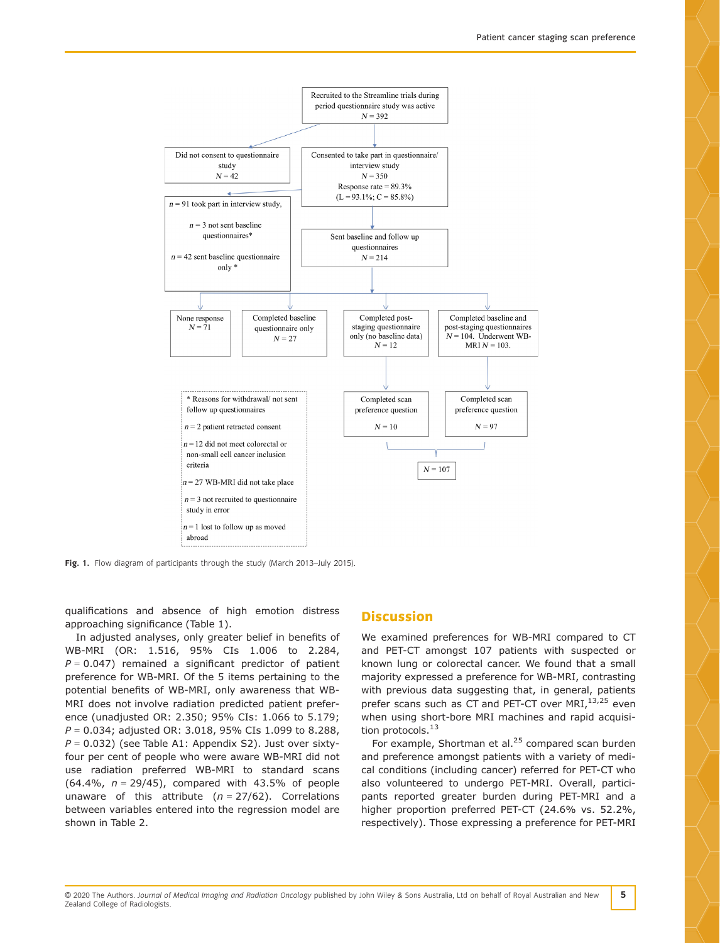

Fig. 1. Flow diagram of participants through the study (March 2013–July 2015).

qualifications and absence of high emotion distress approaching significance (Table 1).

In adjusted analyses, only greater belief in benefits of WB-MRI (OR: 1.516, 95% CIs 1.006 to 2.284,  $P = 0.047$ ) remained a significant predictor of patient preference for WB-MRI. Of the 5 items pertaining to the potential benefits of WB-MRI, only awareness that WB-MRI does not involve radiation predicted patient preference (unadjusted OR: 2.350; 95% CIs: 1.066 to 5.179;  $P = 0.034$ ; adjusted OR: 3.018, 95% CIs 1.099 to 8.288,  $P = 0.032$ ) (see Table A1: Appendix S2). Just over sixtyfour per cent of people who were aware WB-MRI did not use radiation preferred WB-MRI to standard scans (64.4%,  $n = 29/45$ ), compared with 43.5% of people unaware of this attribute ( $n = 27/62$ ). Correlations between variables entered into the regression model are shown in Table 2.

# **Discussion**

We examined preferences for WB-MRI compared to CT and PET-CT amongst 107 patients with suspected or known lung or colorectal cancer. We found that a small majority expressed a preference for WB-MRI, contrasting with previous data suggesting that, in general, patients prefer scans such as CT and PET-CT over  $MRI^{13,25}$  even when using short-bore MRI machines and rapid acquisition protocols.<sup>13</sup>

For example, Shortman et al.<sup>25</sup> compared scan burden and preference amongst patients with a variety of medical conditions (including cancer) referred for PET-CT who also volunteered to undergo PET-MRI. Overall, participants reported greater burden during PET-MRI and a higher proportion preferred PET-CT (24.6% vs. 52.2%, respectively). Those expressing a preference for PET-MRI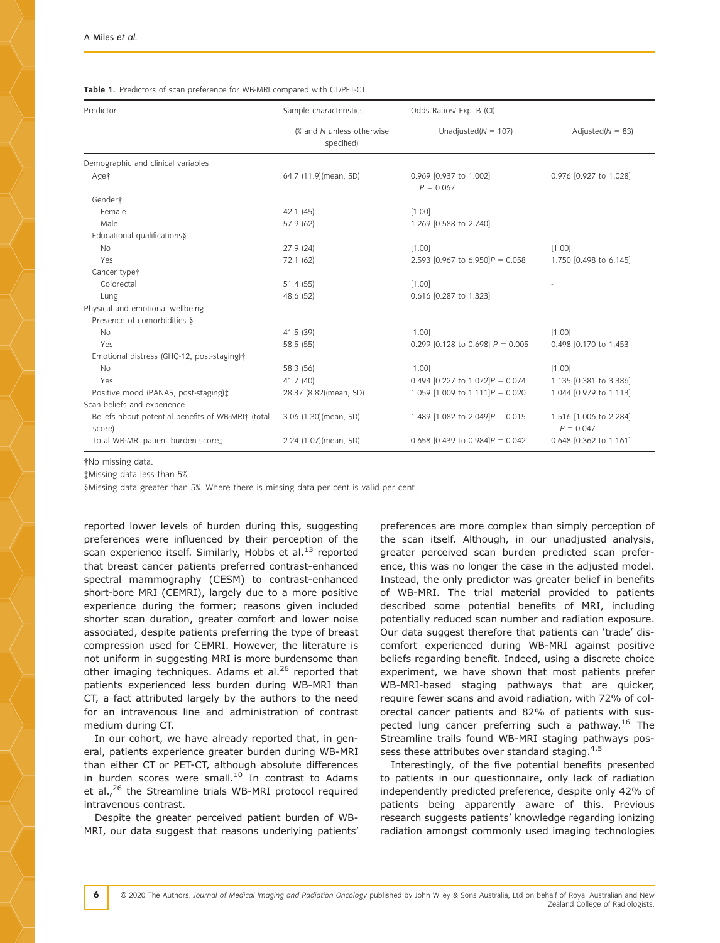Table 1. Predictors of scan preference for WB-MRI compared with CT/PET-CT

| Predictor                                                    | Sample characteristics                   | Odds Ratios/ Exp_B (CI)               |                                       |
|--------------------------------------------------------------|------------------------------------------|---------------------------------------|---------------------------------------|
|                                                              | (% and N unless otherwise)<br>specified) | Unadjusted( $N = 107$ )               | Adjusted( $N = 83$ )                  |
| Demographic and clinical variables                           |                                          |                                       |                                       |
| Aget                                                         | 64.7 (11.9) (mean, SD)                   | 0.969 [0.937 to 1.002]<br>$P = 0.067$ | 0.976 [0.927 to 1.028]                |
| Gendert                                                      |                                          |                                       |                                       |
| Female                                                       | 42.1 (45)                                | [1.00]                                |                                       |
| Male                                                         | 57.9 (62)                                | 1.269 [0.588 to 2.740]                |                                       |
| Educational qualifications§                                  |                                          |                                       |                                       |
| No                                                           | 27.9 (24)                                | [1.00]                                | [1.00]                                |
| Yes                                                          | 72.1 (62)                                | 2.593 [0.967 to 6.950] $P = 0.058$    | 1.750 [0.498 to 6.145]                |
| Cancer typet                                                 |                                          |                                       |                                       |
| Colorectal                                                   | 51.4 (55)                                | [1.00]                                |                                       |
| Lung                                                         | 48.6 (52)                                | 0.616 [0.287 to 1.323]                |                                       |
| Physical and emotional wellbeing                             |                                          |                                       |                                       |
| Presence of comorbidities §                                  |                                          |                                       |                                       |
| <b>No</b>                                                    | 41.5 (39)                                | [1.00]                                | [1.00]                                |
| Yes                                                          | 58.5 (55)                                | 0.299 [0.128 to 0.698] $P = 0.005$    | 0.498 [0.170 to 1.453]                |
| Emotional distress (GHQ-12, post-staging)†                   |                                          |                                       |                                       |
| <b>No</b>                                                    | 58.3 (56)                                | [1.00]                                | [1.00]                                |
| Yes                                                          | 41.7 (40)                                | 0.494 [0.227 to $1.072$ ] $P = 0.074$ | 1.135 [0.381 to 3.386]                |
| Positive mood (PANAS, post-staging):                         | 28.37 (8.82)(mean, SD)                   | 1.059 [1.009 to 1.111] $P = 0.020$    | 1.044 [0.979 to 1.113]                |
| Scan beliefs and experience                                  |                                          |                                       |                                       |
| Beliefs about potential benefits of WB-MRI† (total<br>score) | 3.06 (1.30)(mean, SD)                    | 1.489 [1.082 to 2.049] $P = 0.015$    | 1.516 [1.006 to 2.284]<br>$P = 0.047$ |
| Total WB-MRI patient burden scoret                           | 2.24 (1.07) (mean, SD)                   | 0.658 [0.439 to 0.984] $P = 0.042$    | 0.648 [0.362 to 1.161]                |

†No missing data.

‡Missing data less than 5%.

§Missing data greater than 5%. Where there is missing data per cent is valid per cent.

reported lower levels of burden during this, suggesting preferences were influenced by their perception of the scan experience itself. Similarly, Hobbs et al. $^{13}$  reported that breast cancer patients preferred contrast-enhanced spectral mammography (CESM) to contrast-enhanced short-bore MRI (CEMRI), largely due to a more positive experience during the former; reasons given included shorter scan duration, greater comfort and lower noise associated, despite patients preferring the type of breast compression used for CEMRI. However, the literature is not uniform in suggesting MRI is more burdensome than other imaging techniques. Adams et al.<sup>26</sup> reported that patients experienced less burden during WB-MRI than CT, a fact attributed largely by the authors to the need for an intravenous line and administration of contrast medium during CT.

In our cohort, we have already reported that, in general, patients experience greater burden during WB-MRI than either CT or PET-CT, although absolute differences in burden scores were small. $^{10}$  In contrast to Adams et al.,<sup>26</sup> the Streamline trials WB-MRI protocol required intravenous contrast.

Despite the greater perceived patient burden of WB-MRI, our data suggest that reasons underlying patients' preferences are more complex than simply perception of the scan itself. Although, in our unadjusted analysis, greater perceived scan burden predicted scan preference, this was no longer the case in the adjusted model. Instead, the only predictor was greater belief in benefits of WB-MRI. The trial material provided to patients described some potential benefits of MRI, including potentially reduced scan number and radiation exposure. Our data suggest therefore that patients can 'trade' discomfort experienced during WB-MRI against positive beliefs regarding benefit. Indeed, using a discrete choice experiment, we have shown that most patients prefer WB-MRI-based staging pathways that are quicker, require fewer scans and avoid radiation, with 72% of colorectal cancer patients and 82% of patients with suspected lung cancer preferring such a pathway.<sup>16</sup> The Streamline trails found WB-MRI staging pathways possess these attributes over standard staging. $4.5$ 

Interestingly, of the five potential benefits presented to patients in our questionnaire, only lack of radiation independently predicted preference, despite only 42% of patients being apparently aware of this. Previous research suggests patients' knowledge regarding ionizing radiation amongst commonly used imaging technologies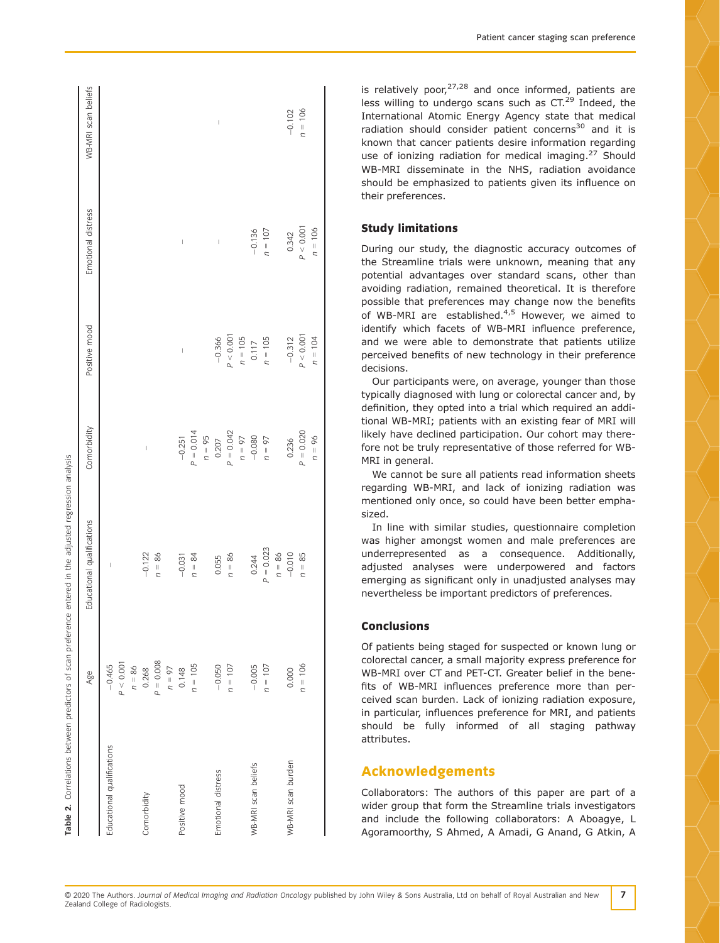|                            |             | Table 2. Correlations between predictors of scan preference entered in the adjusted regression analysis                                                                                                                                                                                                                                                                          |                                |                                |                    |                          |
|----------------------------|-------------|----------------------------------------------------------------------------------------------------------------------------------------------------------------------------------------------------------------------------------------------------------------------------------------------------------------------------------------------------------------------------------|--------------------------------|--------------------------------|--------------------|--------------------------|
|                            | Age         | Educational qualifications                                                                                                                                                                                                                                                                                                                                                       | Comorbidity                    | Positive mood                  | Emotional distress | WB-MRI scan beliefs      |
| Educational qualifications | $-0.465$    | $\begin{array}{c} \rule{0pt}{2.5ex} \rule{0pt}{2.5ex} \rule{0pt}{2.5ex} \rule{0pt}{2.5ex} \rule{0pt}{2.5ex} \rule{0pt}{2.5ex} \rule{0pt}{2.5ex} \rule{0pt}{2.5ex} \rule{0pt}{2.5ex} \rule{0pt}{2.5ex} \rule{0pt}{2.5ex} \rule{0pt}{2.5ex} \rule{0pt}{2.5ex} \rule{0pt}{2.5ex} \rule{0pt}{2.5ex} \rule{0pt}{2.5ex} \rule{0pt}{2.5ex} \rule{0pt}{2.5ex} \rule{0pt}{2.5ex} \rule{0$ |                                |                                |                    |                          |
|                            | P < 0.001   |                                                                                                                                                                                                                                                                                                                                                                                  |                                |                                |                    |                          |
|                            | $n = 86$    |                                                                                                                                                                                                                                                                                                                                                                                  |                                |                                |                    |                          |
| Comorbidity                | 0.268       | $-0.122$                                                                                                                                                                                                                                                                                                                                                                         | $\begin{array}{c} \end{array}$ |                                |                    |                          |
|                            | $P = 0.008$ | $n = 86$                                                                                                                                                                                                                                                                                                                                                                         |                                |                                |                    |                          |
|                            | $V = 97$    |                                                                                                                                                                                                                                                                                                                                                                                  |                                |                                |                    |                          |
| Positive mood              | 0.148       | $-0.031$                                                                                                                                                                                                                                                                                                                                                                         | $-0.251$                       | $\begin{array}{c} \end{array}$ | I                  |                          |
|                            | $n = 105$   | $n = 84$                                                                                                                                                                                                                                                                                                                                                                         | $P = 0.014$                    |                                |                    |                          |
|                            |             |                                                                                                                                                                                                                                                                                                                                                                                  | $n = 95$                       |                                |                    |                          |
| Emotional distress         | $-0.050$    | 0.055                                                                                                                                                                                                                                                                                                                                                                            | 0.207                          | $-0.366$                       | $\mid$             | $\overline{\phantom{a}}$ |
|                            | $n = 107$   | $n = 86$                                                                                                                                                                                                                                                                                                                                                                         | $P = 0.042$                    | P < 0.001                      |                    |                          |
|                            |             |                                                                                                                                                                                                                                                                                                                                                                                  | $n = 97$                       | $n = 105$                      |                    |                          |
| WB-MRI scan beliefs        | $-0.005$    | 0.244                                                                                                                                                                                                                                                                                                                                                                            | $-0.080$                       | 0.117                          | $-0.136$           |                          |
|                            | $n = 107$   | $P = 0.023$                                                                                                                                                                                                                                                                                                                                                                      | $6 = u$                        | $n = 105$                      | $n = 107$          |                          |
|                            |             | $n = 86$                                                                                                                                                                                                                                                                                                                                                                         |                                |                                |                    |                          |
| WB-MRI scan burden         | 0.000       | $-0.010$                                                                                                                                                                                                                                                                                                                                                                         | 0.236                          | $-0.312$                       | 0.342              | $-0.102$                 |
|                            | $n = 106$   | $n = 85$                                                                                                                                                                                                                                                                                                                                                                         | $P = 0.020$                    | P < 0.001                      | P < 0.001          | $n = 106$                |
|                            |             |                                                                                                                                                                                                                                                                                                                                                                                  | $n = 96$                       | $n = 104$                      | $n = 106$          |                          |
|                            |             |                                                                                                                                                                                                                                                                                                                                                                                  |                                |                                |                    |                          |

 $1.9 - 1$ 

is relatively poor, $27,28$  and once informed, patients are less willing to undergo scans such as  $CT<sup>29</sup>$  Indeed, the International Atomic Energy Agency state that medical radiation should consider patient concerns $30$  and it is known that cancer patients desire information regarding use of ionizing radiation for medical imaging.<sup>27</sup> Should WB-MRI disseminate in the NHS, radiation avoidance should be emphasized to patients given its influence on their preferences.

# Study limitations

During our study, the diagnostic accuracy outcomes of the Streamline trials were unknown, meaning that any potential advantages over standard scans, other than avoiding radiation, remained theoretical. It is therefore possible that preferences may change now the benefits of WB-MRI are established. $4.5$  However, we aimed to identify which facets of WB-MRI influence preference, and we were able to demonstrate that patients utilize perceived benefits of new technology in their preference decisions.

Our participants were, on average, younger than those typically diagnosed with lung or colorectal cancer and, by definition, they opted into a trial which required an additional WB-MRI; patients with an existing fear of MRI will likely have declined participation. Our cohort may therefore not be truly representative of those referred for WB-MRI in general.

We cannot be sure all patients read information sheets regarding WB-MRI, and lack of ionizing radiation was mentioned only once, so could have been better emphasized.

In line with similar studies, questionnaire completion was higher amongst women and male preferences are underrepresented as a consequence. Additionally, adjusted analyses were underpowered and factors emerging as significant only in unadjusted analyses may nevertheless be important predictors of preferences.

# Conclusions

Of patients being staged for suspected or known lung or colorectal cancer, a small majority express preference for WB-MRI over CT and PET-CT. Greater belief in the benefits of WB-MRI influences preference more than perceived scan burden. Lack of ionizing radiation exposure, in particular, influences preference for MRI, and patients should be fully informed of all staging pathway attributes.

# Acknowledgements

Collaborators: The authors of this paper are part of a wider group that form the Streamline trials investigators and include the following collaborators: A Aboagye, L Agoramoorthy, S Ahmed, A Amadi, G Anand, G Atkin, A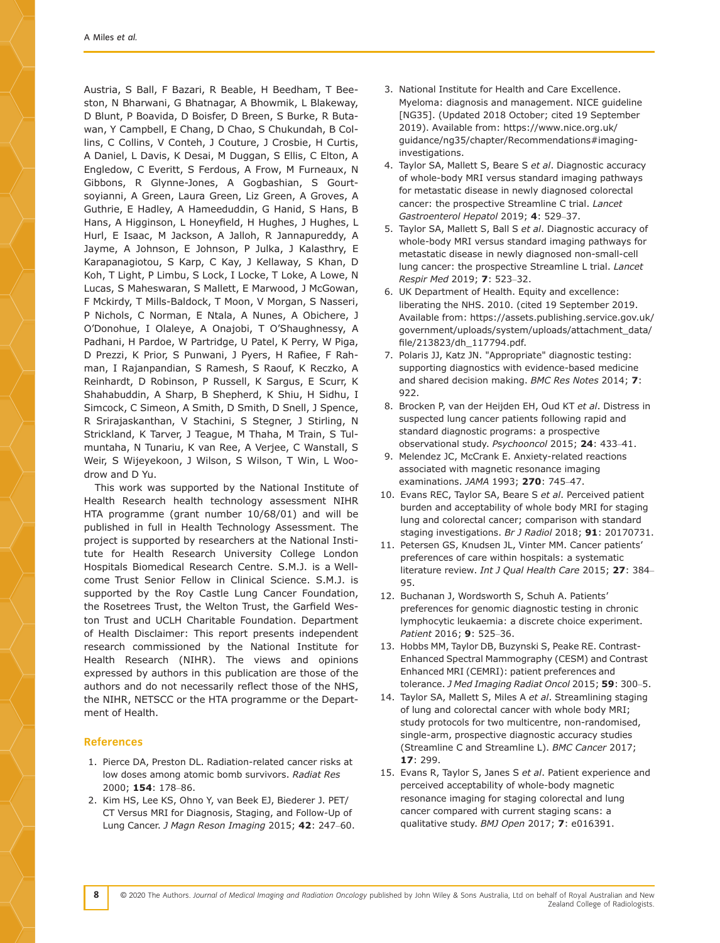Austria, S Ball, F Bazari, R Beable, H Beedham, T Beeston, N Bharwani, G Bhatnagar, A Bhowmik, L Blakeway, D Blunt, P Boavida, D Boisfer, D Breen, S Burke, R Butawan, Y Campbell, E Chang, D Chao, S Chukundah, B Collins, C Collins, V Conteh, J Couture, J Crosbie, H Curtis, A Daniel, L Davis, K Desai, M Duggan, S Ellis, C Elton, A Engledow, C Everitt, S Ferdous, A Frow, M Furneaux, N Gibbons, R Glynne-Jones, A Gogbashian, S Gourtsoyianni, A Green, Laura Green, Liz Green, A Groves, A Guthrie, E Hadley, A Hameeduddin, G Hanid, S Hans, B Hans, A Higginson, L Honeyfield, H Hughes, J Hughes, L Hurl, E Isaac, M Jackson, A Jalloh, R Jannapureddy, A Jayme, A Johnson, E Johnson, P Julka, J Kalasthry, E Karapanagiotou, S Karp, C Kay, J Kellaway, S Khan, D Koh, T Light, P Limbu, S Lock, I Locke, T Loke, A Lowe, N Lucas, S Maheswaran, S Mallett, E Marwood, J McGowan, F Mckirdy, T Mills-Baldock, T Moon, V Morgan, S Nasseri, P Nichols, C Norman, E Ntala, A Nunes, A Obichere, J O'Donohue, I Olaleye, A Onajobi, T O'Shaughnessy, A Padhani, H Pardoe, W Partridge, U Patel, K Perry, W Piga, D Prezzi, K Prior, S Punwani, J Pyers, H Rafiee, F Rahman, I Rajanpandian, S Ramesh, S Raouf, K Reczko, A Reinhardt, D Robinson, P Russell, K Sargus, E Scurr, K Shahabuddin, A Sharp, B Shepherd, K Shiu, H Sidhu, I Simcock, C Simeon, A Smith, D Smith, D Snell, J Spence, R Srirajaskanthan, V Stachini, S Stegner, J Stirling, N Strickland, K Tarver, J Teague, M Thaha, M Train, S Tulmuntaha, N Tunariu, K van Ree, A Verjee, C Wanstall, S Weir, S Wijeyekoon, J Wilson, S Wilson, T Win, L Woodrow and D Yu.

This work was supported by the National Institute of Health Research health technology assessment NIHR HTA programme (grant number 10/68/01) and will be published in full in Health Technology Assessment. The project is supported by researchers at the National Institute for Health Research University College London Hospitals Biomedical Research Centre. S.M.J. is a Wellcome Trust Senior Fellow in Clinical Science. S.M.J. is supported by the Roy Castle Lung Cancer Foundation, the Rosetrees Trust, the Welton Trust, the Garfield Weston Trust and UCLH Charitable Foundation. Department of Health Disclaimer: This report presents independent research commissioned by the National Institute for Health Research (NIHR). The views and opinions expressed by authors in this publication are those of the authors and do not necessarily reflect those of the NHS, the NIHR, NETSCC or the HTA programme or the Department of Health.

#### References

- 1. Pierce DA, Preston DL. Radiation-related cancer risks at low doses among atomic bomb survivors. Radiat Res 2000; 154: 178–86.
- 2. Kim HS, Lee KS, Ohno Y, van Beek EJ, Biederer J. PET/ CT Versus MRI for Diagnosis, Staging, and Follow-Up of Lung Cancer. J Magn Reson Imaging 2015; 42: 247-60.
- 3. National Institute for Health and Care Excellence. Myeloma: diagnosis and management. NICE guideline [NG35]. (Updated 2018 October; cited 19 September 2019). Available from: https://www.nice.org.uk/ guidance/ng35/chapter/Recommendations#imaginginvestigations.
- 4. Taylor SA, Mallett S, Beare S et al. Diagnostic accuracy of whole-body MRI versus standard imaging pathways for metastatic disease in newly diagnosed colorectal cancer: the prospective Streamline C trial. Lancet Gastroenterol Hepatol 2019; 4: 529–37.
- 5. Taylor SA, Mallett S, Ball S et al. Diagnostic accuracy of whole-body MRI versus standard imaging pathways for metastatic disease in newly diagnosed non-small-cell lung cancer: the prospective Streamline L trial. Lancet Respir Med 2019; 7: 523–32.
- 6. UK Department of Health. Equity and excellence: liberating the NHS. 2010. (cited 19 September 2019. Available from: https://assets.publishing.service.gov.uk/ government/uploads/system/uploads/attachment\_data/ file/213823/dh\_117794.pdf.
- 7. Polaris JJ, Katz JN. "Appropriate" diagnostic testing: supporting diagnostics with evidence-based medicine and shared decision making. BMC Res Notes 2014: 7: 922
- 8. Brocken P, van der Heijden EH, Oud KT et al. Distress in suspected lung cancer patients following rapid and standard diagnostic programs: a prospective observational study. Psychooncol 2015; 24: 433–41.
- 9. Melendez JC, McCrank E. Anxiety-related reactions associated with magnetic resonance imaging examinations. JAMA 1993; 270: 745–47.
- 10. Evans REC, Taylor SA, Beare S et al. Perceived patient burden and acceptability of whole body MRI for staging lung and colorectal cancer; comparison with standard staging investigations. Br J Radiol 2018; 91: 20170731.
- 11. Petersen GS, Knudsen JL, Vinter MM. Cancer patients' preferences of care within hospitals: a systematic literature review. Int J Qual Health Care 2015; 27: 384-95.
- 12. Buchanan J, Wordsworth S, Schuh A. Patients' preferences for genomic diagnostic testing in chronic lymphocytic leukaemia: a discrete choice experiment. Patient 2016; 9: 525–36.
- 13. Hobbs MM, Taylor DB, Buzynski S, Peake RE. Contrast-Enhanced Spectral Mammography (CESM) and Contrast Enhanced MRI (CEMRI): patient preferences and tolerance. J Med Imaging Radiat Oncol 2015; 59: 300-5.
- 14. Taylor SA, Mallett S, Miles A et al. Streamlining staging of lung and colorectal cancer with whole body MRI; study protocols for two multicentre, non-randomised, single-arm, prospective diagnostic accuracy studies (Streamline C and Streamline L). BMC Cancer 2017; 17: 299.
- 15. Evans R, Taylor S, Janes S et al. Patient experience and perceived acceptability of whole-body magnetic resonance imaging for staging colorectal and lung cancer compared with current staging scans: a qualitative study. BMJ Open 2017; 7: e016391.